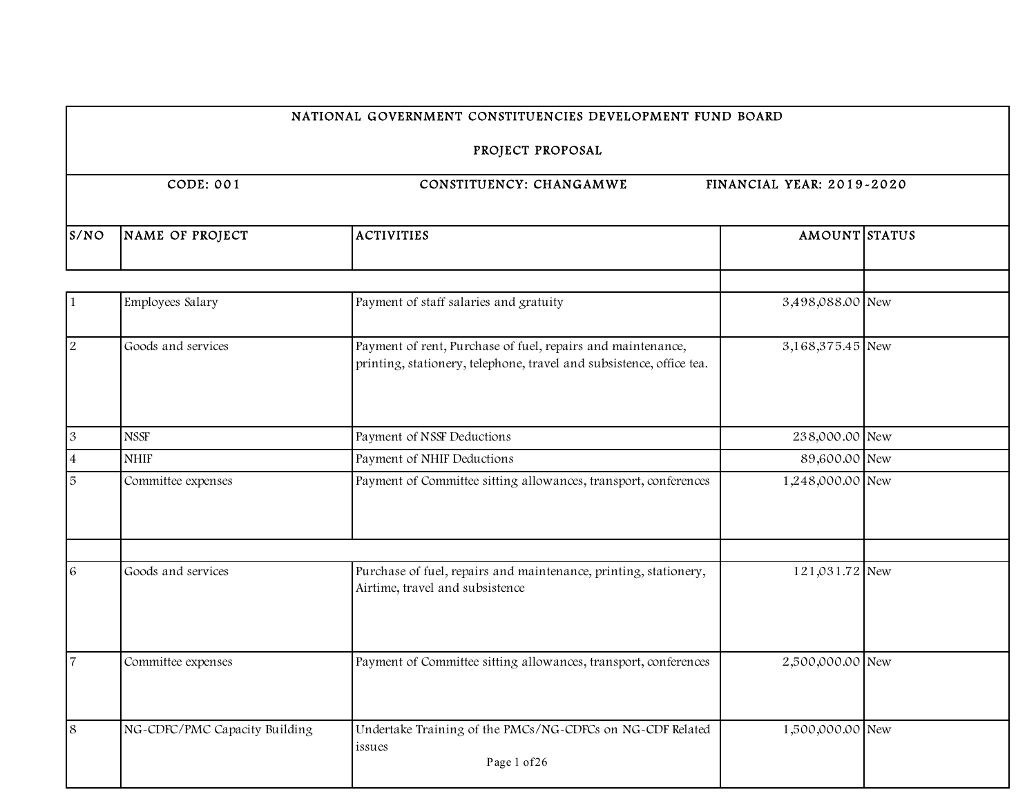# PROJECT PROPOSAL

| S/NO           | NAME OF PROJECT               | <b>ACTIVITIES</b>                                                                                                                   | AMOUNT STATUS    |  |
|----------------|-------------------------------|-------------------------------------------------------------------------------------------------------------------------------------|------------------|--|
|                |                               |                                                                                                                                     |                  |  |
| 1              | Employees Salary              | Payment of staff salaries and gratuity                                                                                              | 3,498,088.00 New |  |
| $\overline{2}$ | Goods and services            | Payment of rent, Purchase of fuel, repairs and maintenance,<br>printing, stationery, telephone, travel and subsistence, office tea. | 3,168,375.45 New |  |
| $\mathfrak{B}$ | <b>NSSF</b>                   | Payment of NSSF Deductions                                                                                                          | 238,000.00 New   |  |
| $\overline{4}$ | <b>NHIF</b>                   | Payment of NHIF Deductions                                                                                                          | 89,600.00 New    |  |
| 5              | Committee expenses            | Payment of Committee sitting allowances, transport, conferences                                                                     | 1,248,000.00 New |  |
| $\sqrt{6}$     | Goods and services            | Purchase of fuel, repairs and maintenance, printing, stationery,                                                                    | 121,031.72 New   |  |
|                |                               | Airtime, travel and subsistence                                                                                                     |                  |  |
| $\overline{7}$ | Committee expenses            | Payment of Committee sitting allowances, transport, conferences                                                                     | 2,500,000.00 New |  |
| 8              | NG-CDFC/PMC Capacity Building | Undertake Training of the PMCs/NG-CDFCs on NG-CDF Related<br>issues<br>Page 1 of 26                                                 | 1,500,000.00 New |  |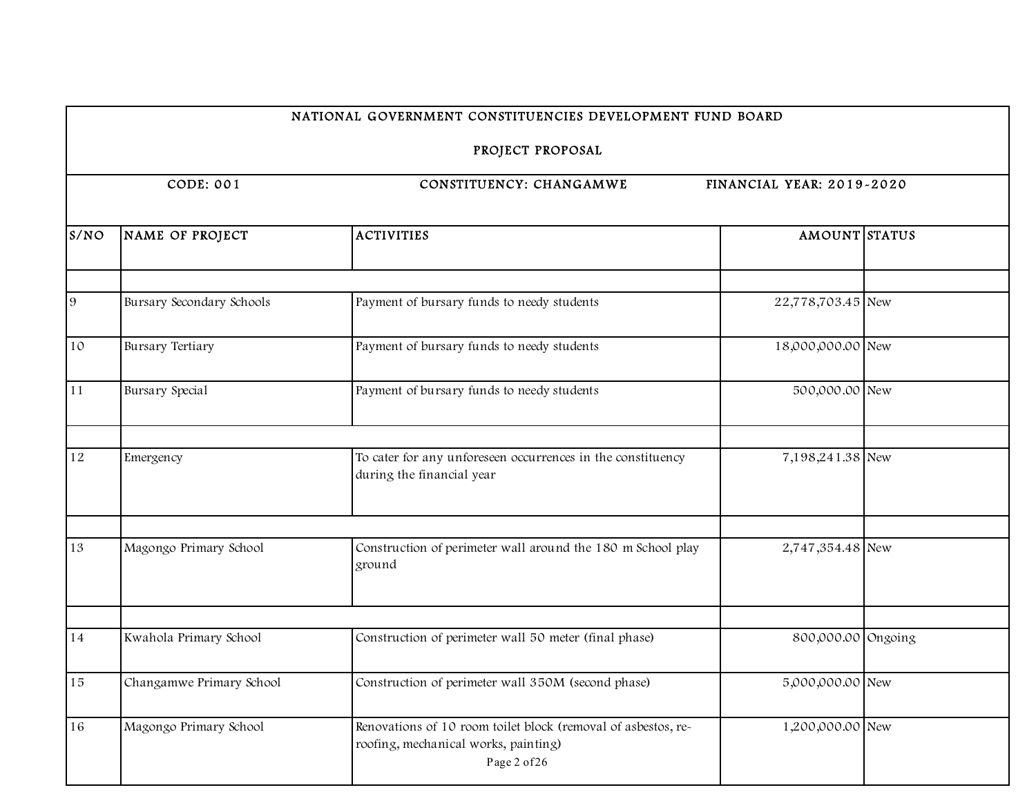|      |                                                                   | PROJECT PROPOSAL                                                                                                      |                    |  |  |
|------|-------------------------------------------------------------------|-----------------------------------------------------------------------------------------------------------------------|--------------------|--|--|
|      | CODE: 001<br>CONSTITUENCY: CHANGAMWE<br>FINANCIAL YEAR: 2019-2020 |                                                                                                                       |                    |  |  |
| S/NO | NAME OF PROJECT                                                   | <b>ACTIVITIES</b>                                                                                                     | AMOUNT STATUS      |  |  |
| 9    | Bursary Secondary Schools                                         | Payment of bursary funds to needy students                                                                            | 22,778,703.45 New  |  |  |
| 10   | <b>Bursary Tertiary</b>                                           | Payment of bursary funds to needy students                                                                            | 18,000,000.00 New  |  |  |
| 11   | Bursary Special                                                   | Payment of bursary funds to needy students                                                                            | 500,000.00 New     |  |  |
| 12   | Emergency                                                         | To cater for any unforeseen occurrences in the constituency<br>during the financial year                              | 7,198,241.38 New   |  |  |
| 13   | Magongo Primary School                                            | Construction of perimeter wall around the 180 m School play<br>ground                                                 | 2,747,354.48 New   |  |  |
| 14   | Kwahola Primary School                                            | Construction of perimeter wall 50 meter (final phase)                                                                 | 800,000.00 Ongoing |  |  |
| 15   | Changamwe Primary School                                          | Construction of perimeter wall 350M (second phase)                                                                    | 5,000,000.00 New   |  |  |
| 16   | Magongo Primary School                                            | Renovations of 10 room toilet block (removal of asbestos, re-<br>roofing, mechanical works, painting)<br>Page 2 of 26 | 1,200,000.00 New   |  |  |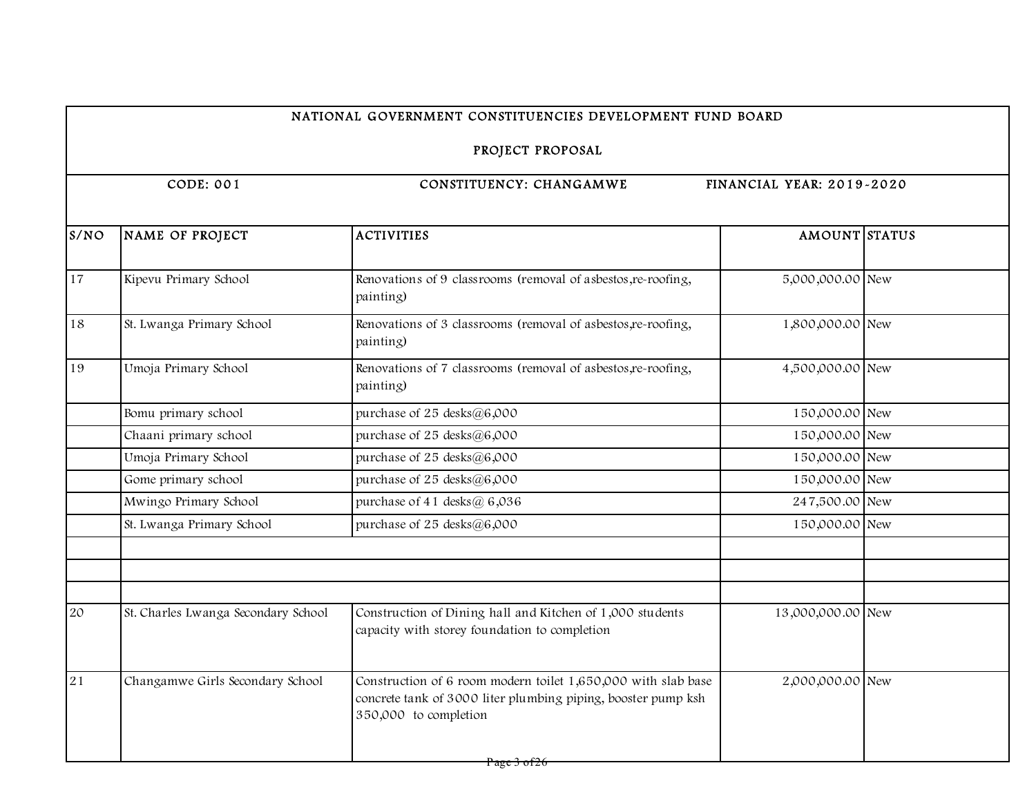# PROJECT PROPOSAL

| NAME OF PROJECT                     | <b>ACTIVITIES</b>                                                                                                                                       | AMOUNT STATUS    |                                                                                             |
|-------------------------------------|---------------------------------------------------------------------------------------------------------------------------------------------------------|------------------|---------------------------------------------------------------------------------------------|
| Kipevu Primary School               | Renovations of 9 classrooms (removal of asbestos, re-roofing,<br>painting)                                                                              | 5,000,000.00 New |                                                                                             |
| St. Lwanga Primary School           | Renovations of 3 classrooms (removal of asbestos, re-roofing,<br>painting)                                                                              | 1,800,000.00 New |                                                                                             |
| Umoja Primary School                | Renovations of 7 classrooms (removal of asbestos, re-roofing,<br>painting)                                                                              | 4,500,000.00 New |                                                                                             |
| Bomu primary school                 | purchase of 25 desks@6,000                                                                                                                              | 150,000.00 New   |                                                                                             |
| Chaani primary school               | purchase of $25$ desks $@6,000$                                                                                                                         | 150,000.00 New   |                                                                                             |
| Umoja Primary School                | purchase of $25$ desks $@6,000$                                                                                                                         | 150,000.00 New   |                                                                                             |
| Gome primary school                 | purchase of $25$ desks $@6,000$                                                                                                                         |                  |                                                                                             |
| Mwingo Primary School               | purchase of 41 desks@ $6,036$                                                                                                                           |                  |                                                                                             |
| St. Lwanga Primary School           | purchase of $25$ desks $@6,000$                                                                                                                         |                  |                                                                                             |
|                                     |                                                                                                                                                         |                  |                                                                                             |
| St. Charles Lwanga Secondary School | Construction of Dining hall and Kitchen of 1,000 students<br>capacity with storey foundation to completion                                              |                  |                                                                                             |
| Changamwe Girls Secondary School    | Construction of 6 room modern toilet 1,650,000 with slab base<br>concrete tank of 3000 liter plumbing piping, booster pump ksh<br>350,000 to completion |                  |                                                                                             |
|                                     |                                                                                                                                                         |                  | 150,000.00 New<br>247,500.00 New<br>150,000.00 New<br>13,000,000.00 New<br>2,000,000.00 New |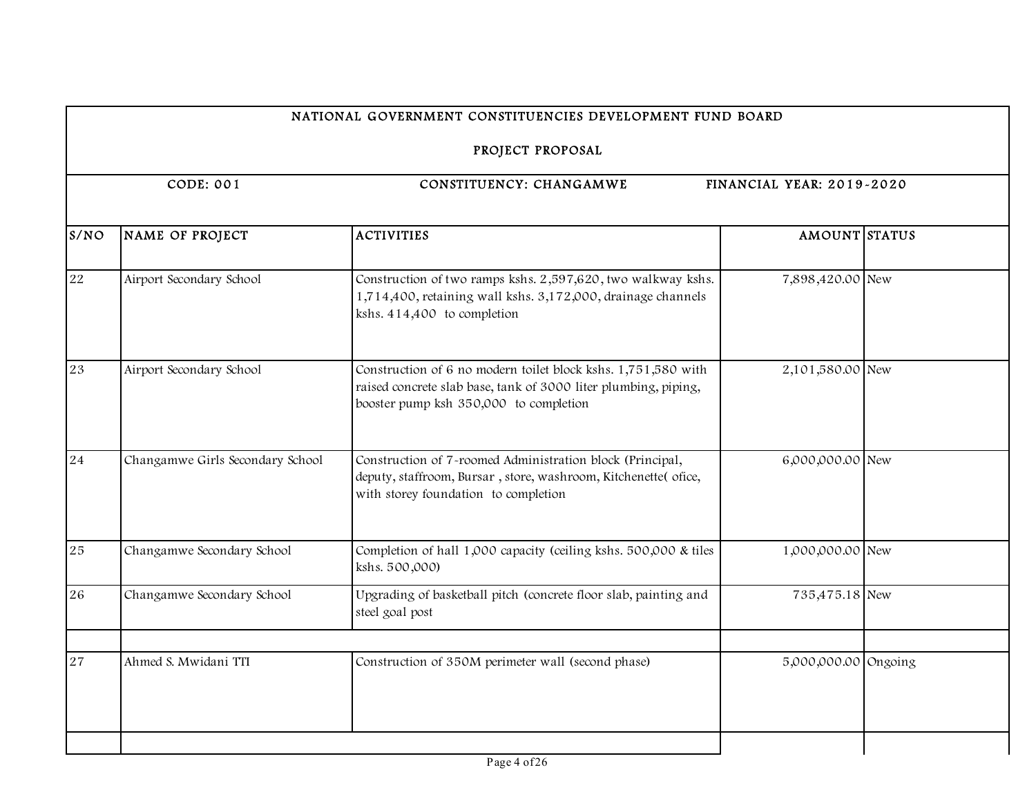# PROJECT PROPOSAL

| S/NO | NAME OF PROJECT                  | <b>ACTIVITIES</b>                                                                                                                                                          | AMOUNT STATUS        |  |
|------|----------------------------------|----------------------------------------------------------------------------------------------------------------------------------------------------------------------------|----------------------|--|
| 22   | Airport Secondary School         | Construction of two ramps kshs. 2,597,620, two walkway kshs.<br>1,714,400, retaining wall kshs. 3,172,000, drainage channels<br>kshs. 414,400 to completion                | 7,898,420.00 New     |  |
| 23   | Airport Secondary School         | Construction of 6 no modern toilet block kshs. 1,751,580 with<br>raised concrete slab base, tank of 3000 liter plumbing, piping,<br>booster pump ksh 350,000 to completion | 2,101,580.00 New     |  |
| 24   | Changamwe Girls Secondary School | Construction of 7-roomed Administration block (Principal,<br>deputy, staffroom, Bursar, store, washroom, Kitchenette(ofice,<br>with storey foundation to completion        | 6,000,000.00 New     |  |
| 25   | Changamwe Secondary School       | Completion of hall 1,000 capacity (ceiling kshs. 500,000 & tiles<br>kshs. 500,000)                                                                                         | 1,000,000.00 New     |  |
| 26   | Changamwe Secondary School       | Upgrading of basketball pitch (concrete floor slab, painting and<br>steel goal post                                                                                        | 735,475.18 New       |  |
| 27   | Ahmed S. Mwidani TTI             | Construction of 350M perimeter wall (second phase)                                                                                                                         | 5,000,000.00 Ongoing |  |
|      |                                  |                                                                                                                                                                            |                      |  |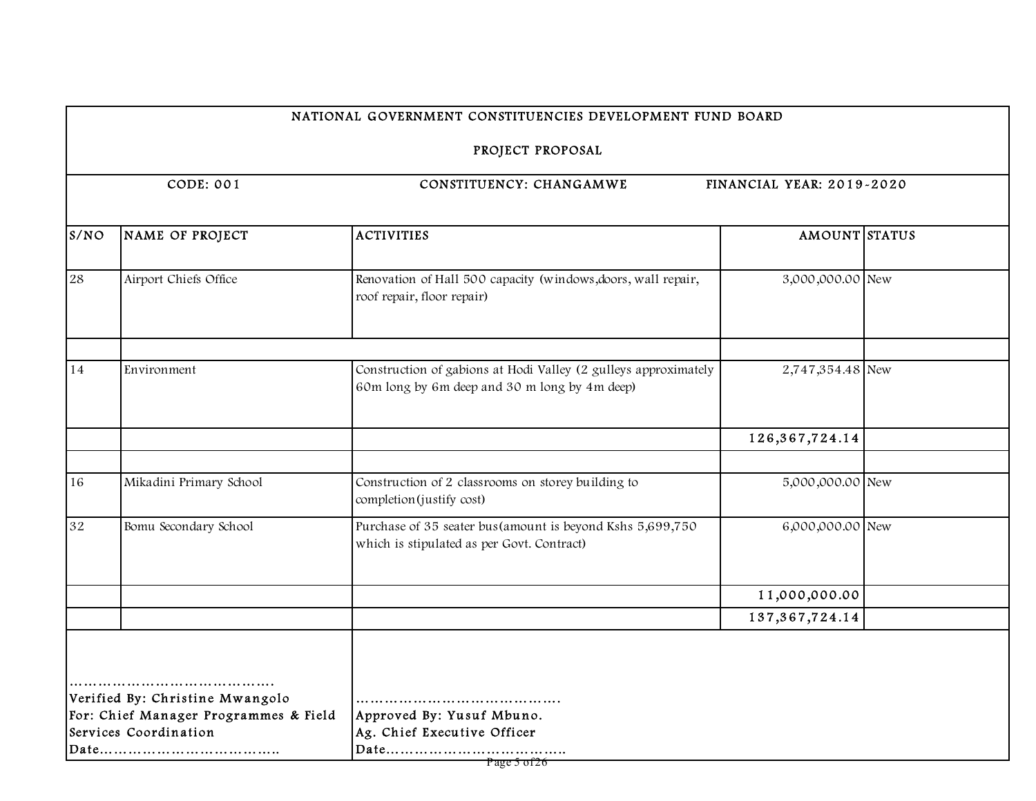PROJECT PROPOSAL

| S/NO | NAME OF PROJECT                                                                                   | <b>ACTIVITIES</b>                                                                                                | AMOUNT STATUS     |  |
|------|---------------------------------------------------------------------------------------------------|------------------------------------------------------------------------------------------------------------------|-------------------|--|
| 28   | Airport Chiefs Office                                                                             | Renovation of Hall 500 capacity (windows, doors, wall repair,<br>roof repair, floor repair)                      | 3,000,000.00 New  |  |
|      |                                                                                                   |                                                                                                                  |                   |  |
| 14   | Environment                                                                                       | Construction of gabions at Hodi Valley (2 gulleys approximately<br>60m long by 6m deep and 30 m long by 4m deep) | 2,747,354.48 New  |  |
|      |                                                                                                   |                                                                                                                  | 126, 367, 724. 14 |  |
| 16   | Mikadini Primary School                                                                           | Construction of 2 classrooms on storey building to<br>completion (justify cost)                                  | 5,000,000.00 New  |  |
| 32   | Bomu Secondary School                                                                             | Purchase of 35 seater bus(amount is beyond Kshs 5,699,750<br>which is stipulated as per Govt. Contract)          | 6,000,000.00 New  |  |
|      |                                                                                                   |                                                                                                                  | 11,000,000.00     |  |
|      |                                                                                                   |                                                                                                                  | 137, 367, 724. 14 |  |
|      | Verified By: Christine Mwangolo<br>For: Chief Manager Programmes & Field<br>Services Coordination | Approved By: Yusuf Mbuno.<br>Ag. Chief Executive Officer                                                         |                   |  |
|      |                                                                                                   | Page 5 of 26                                                                                                     |                   |  |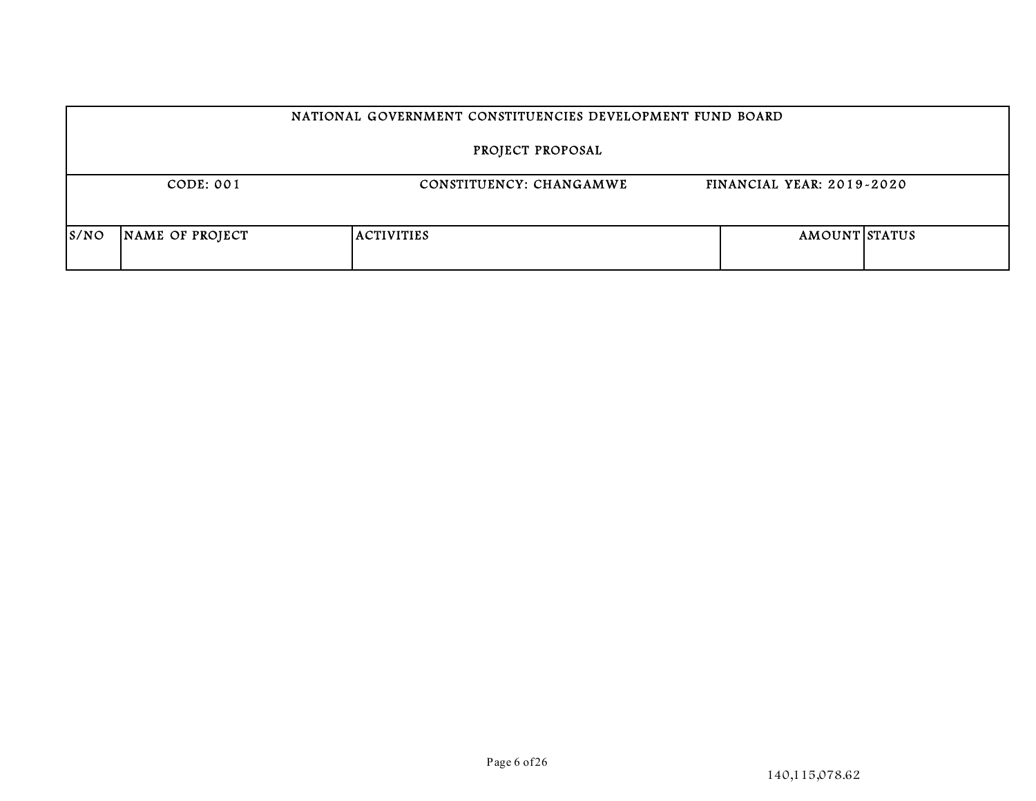|      | NATIONAL GOVERNMENT CONSTITUENCIES DEVELOPMENT FUND BOARD                |                   |  |                      |  |  |
|------|--------------------------------------------------------------------------|-------------------|--|----------------------|--|--|
|      | PROJECT PROPOSAL                                                         |                   |  |                      |  |  |
|      | CODE: 001<br><b>FINANCIAL YEAR: 2019-2020</b><br>CONSTITUENCY: CHANGAMWE |                   |  |                      |  |  |
| S/NO | NAME OF PROJECT                                                          | <b>ACTIVITIES</b> |  | <b>AMOUNT STATUS</b> |  |  |